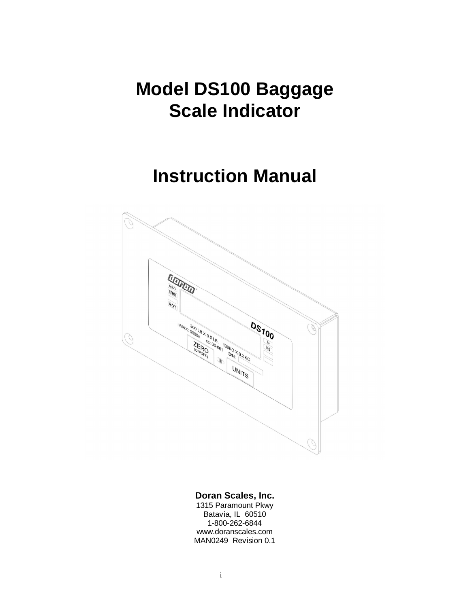# **Model DS100 Baggage Scale Indicator**

# **Instruction Manual**



#### **Doran Scales, Inc.**

1315 Paramount Pkwy Batavia, IL 60510 1-800-262-6844 [www.doranscales.com](http://www.doranscales.com) MAN0249 Revision 0.1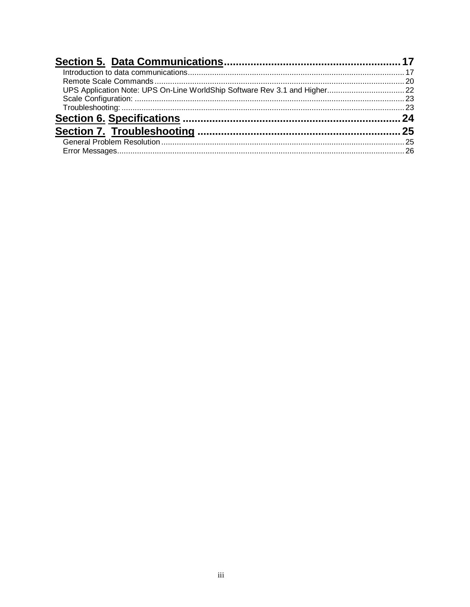| UPS Application Note: UPS On-Line WorldShip Software Rev 3.1 and Higher 22 |  |
|----------------------------------------------------------------------------|--|
|                                                                            |  |
|                                                                            |  |
|                                                                            |  |
|                                                                            |  |
|                                                                            |  |
|                                                                            |  |
|                                                                            |  |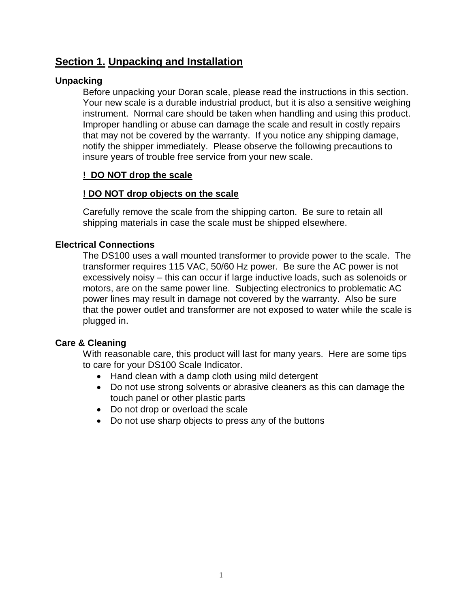# **Section 1. Unpacking and Installation**

## **Unpacking**

Before unpacking your Doran scale, please read the instructions in this section. Your new scale is a durable industrial product, but it is also a sensitive weighing instrument. Normal care should be taken when handling and using this product. Improper handling or abuse can damage the scale and result in costly repairs that may not be covered by the warranty. If you notice any shipping damage, notify the shipper immediately. Please observe the following precautions to insure years of trouble free service from your new scale.

### **! DO NOT drop the scale**

### **! DO NOT drop objects on the scale**

Carefully remove the scale from the shipping carton. Be sure to retain all shipping materials in case the scale must be shipped elsewhere.

### **Electrical Connections**

The DS100 uses a wall mounted transformer to provide power to the scale. The transformer requires 115 VAC, 50/60 Hz power. Be sure the AC power is not excessively noisy – this can occur if large inductive loads, such as solenoids or motors, are on the same power line. Subjecting electronics to problematic AC power lines may result in damage not covered by the warranty. Also be sure that the power outlet and transformer are not exposed to water while the scale is plugged in.

#### **Care & Cleaning**

With reasonable care, this product will last for many years. Here are some tips to care for your DS100 Scale Indicator.

- Hand clean with a damp cloth using mild detergent
- Do not use strong solvents or abrasive cleaners as this can damage the touch panel or other plastic parts
- Do not drop or overload the scale
- Do not use sharp objects to press any of the buttons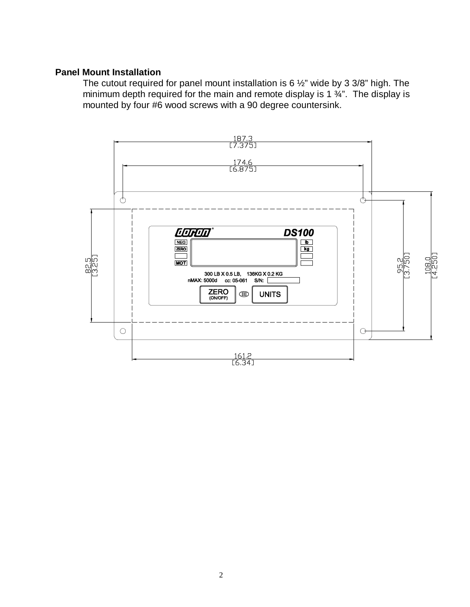#### **Panel Mount Installation**

The cutout required for panel mount installation is 6 ½" wide by 3 3/8" high. The minimum depth required for the main and remote display is 1  $\frac{3}{4}$ ". The display is mounted by four #6 wood screws with a 90 degree countersink.

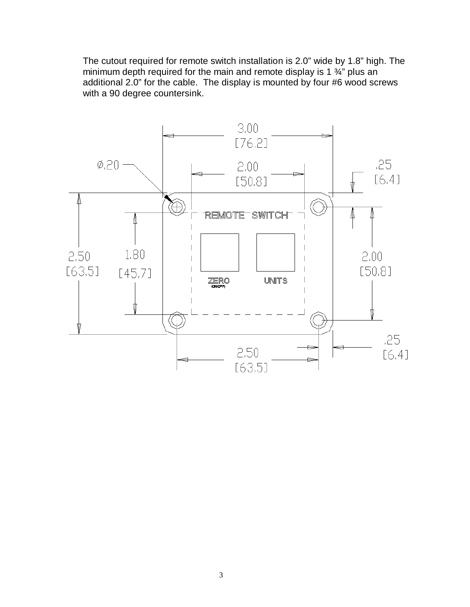The cutout required for remote switch installation is 2.0" wide by 1.8" high. The minimum depth required for the main and remote display is 1  $\frac{3}{4}$ " plus an additional 2.0" for the cable. The display is mounted by four #6 wood screws with a 90 degree countersink.

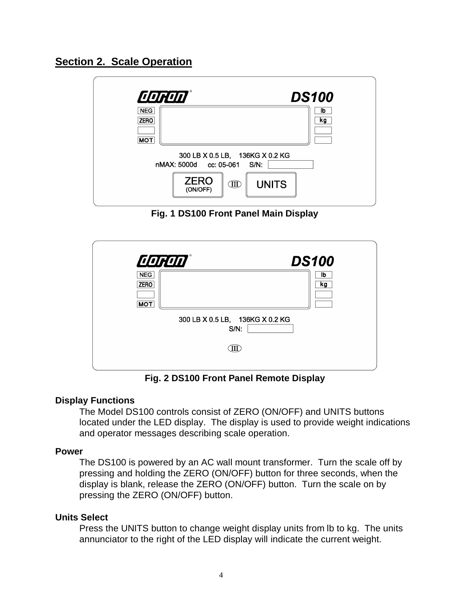

| <b>CORON</b><br><b>DS100</b>                                   |  |
|----------------------------------------------------------------|--|
| <b>NEG</b><br>lb<br><b>ZERO</b><br>kg                          |  |
| <b>MOT</b>                                                     |  |
| 300 LB X 0.5 LB, 136KG X 0.2 KG<br>nMAX: 5000d cc: 05-061 S/N: |  |
| <b>ZERO</b><br><b>UNITS</b><br>Œ<br>(ON/OFF)                   |  |

**Fig. 1 DS100 Front Panel Main Display**

| <b>CORON®</b> |                                         |                    |
|---------------|-----------------------------------------|--------------------|
| <b>NEG</b>    |                                         | <b>DS100</b><br>Ib |
| <b>ZERO</b>   |                                         | kg                 |
| <b>MOT</b>    |                                         |                    |
|               | 300 LB X 0.5 LB, 136KG X 0.2 KG<br>S/N: |                    |
|               |                                         |                    |
|               |                                         |                    |

**Fig. 2 DS100 Front Panel Remote Display**

## **Display Functions**

The Model DS100 controls consist of ZERO (ON/OFF) and UNITS buttons located under the LED display. The display is used to provide weight indications and operator messages describing scale operation.

#### **Power**

The DS100 is powered by an AC wall mount transformer. Turn the scale off by pressing and holding the ZERO (ON/OFF) button for three seconds, when the display is blank, release the ZERO (ON/OFF) button. Turn the scale on by pressing the ZERO (ON/OFF) button.

#### **Units Select**

Press the UNITS button to change weight display units from lb to kg. The units annunciator to the right of the LED display will indicate the current weight.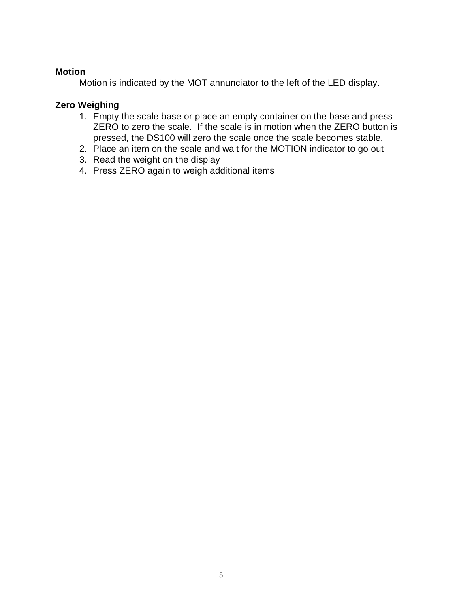#### **Motion**

Motion is indicated by the MOT annunciator to the left of the LED display.

## **Zero Weighing**

- 1. Empty the scale base or place an empty container on the base and press ZERO to zero the scale. If the scale is in motion when the ZERO button is pressed, the DS100 will zero the scale once the scale becomes stable.
- 2. Place an item on the scale and wait for the MOTION indicator to go out
- 3. Read the weight on the display
- 4. Press ZERO again to weigh additional items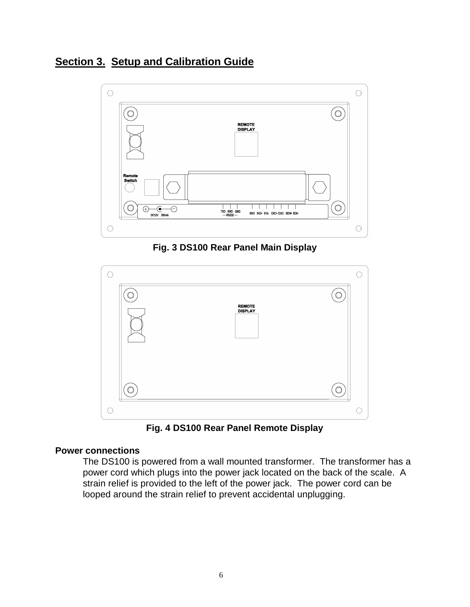# **Section 3. Setup and Calibration Guide**



**Fig. 3 DS100 Rear Panel Main Display**



**Fig. 4 DS100 Rear Panel Remote Display**

#### **Power connections**

The DS100 is powered from a wall mounted transformer. The transformer has a power cord which plugs into the power jack located on the back of the scale. A strain relief is provided to the left of the power jack. The power cord can be looped around the strain relief to prevent accidental unplugging.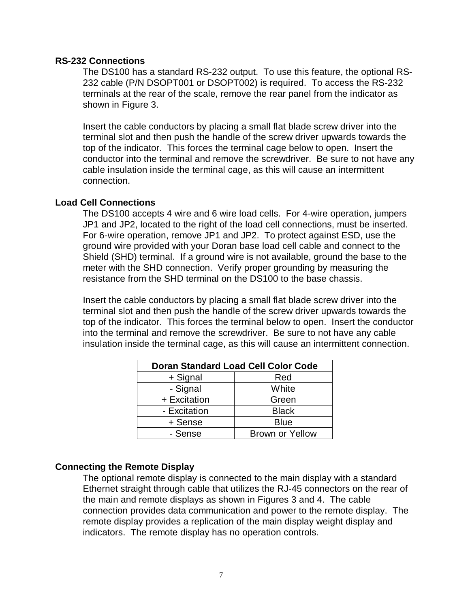#### **RS-232 Connections**

The DS100 has a standard RS-232 output. To use this feature, the optional RS-232 cable (P/N DSOPT001 or DSOPT002) is required. To access the RS-232 terminals at the rear of the scale, remove the rear panel from the indicator as shown in Figure 3.

Insert the cable conductors by placing a small flat blade screw driver into the terminal slot and then push the handle of the screw driver upwards towards the top of the indicator. This forces the terminal cage below to open. Insert the conductor into the terminal and remove the screwdriver. Be sure to not have any cable insulation inside the terminal cage, as this will cause an intermittent connection.

#### **Load Cell Connections**

The DS100 accepts 4 wire and 6 wire load cells. For 4-wire operation, jumpers JP1 and JP2, located to the right of the load cell connections, must be inserted. For 6-wire operation, remove JP1 and JP2. To protect against ESD, use the ground wire provided with your Doran base load cell cable and connect to the Shield (SHD) terminal. If a ground wire is not available, ground the base to the meter with the SHD connection. Verify proper grounding by measuring the resistance from the SHD terminal on the DS100 to the base chassis.

Insert the cable conductors by placing a small flat blade screw driver into the terminal slot and then push the handle of the screw driver upwards towards the top of the indicator. This forces the terminal below to open. Insert the conductor into the terminal and remove the screwdriver. Be sure to not have any cable insulation inside the terminal cage, as this will cause an intermittent connection.

| <b>Doran Standard Load Cell Color Code</b> |                        |
|--------------------------------------------|------------------------|
| + Signal                                   | Red                    |
| - Signal                                   | White                  |
| + Excitation                               | Green                  |
| - Excitation                               | <b>Black</b>           |
| + Sense                                    | <b>Blue</b>            |
| - Sense                                    | <b>Brown or Yellow</b> |

#### **Connecting the Remote Display**

The optional remote display is connected to the main display with a standard Ethernet straight through cable that utilizes the RJ-45 connectors on the rear of the main and remote displays as shown in Figures 3 and 4. The cable connection provides data communication and power to the remote display. The remote display provides a replication of the main display weight display and indicators. The remote display has no operation controls.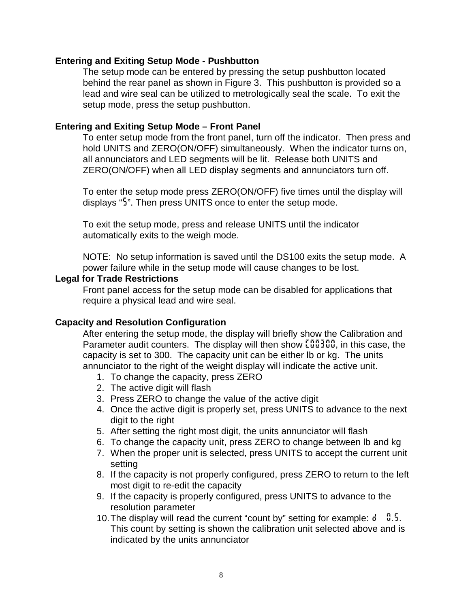#### **Entering and Exiting Setup Mode - Pushbutton**

The setup mode can be entered by pressing the setup pushbutton located behind the rear panel as shown in Figure 3. This pushbutton is provided so a lead and wire seal can be utilized to metrologically seal the scale. To exit the setup mode, press the setup pushbutton.

#### **Entering and Exiting Setup Mode – Front Panel**

To enter setup mode from the front panel, turn off the indicator. Then press and hold UNITS and ZERO(ON/OFF) simultaneously. When the indicator turns on, all annunciators and LED segments will be lit. Release both UNITS and ZERO(ON/OFF) when all LED display segments and annunciators turn off.

To enter the setup mode press ZERO(ON/OFF) five times until the display will displays "*5*". Then press UNITS once to enter the setup mode.

To exit the setup mode, press and release UNITS until the indicator automatically exits to the weigh mode.

NOTE: No setup information is saved until the DS100 exits the setup mode. A power failure while in the setup mode will cause changes to be lost.

#### **Legal for Trade Restrictions**

Front panel access for the setup mode can be disabled for applications that require a physical lead and wire seal.

#### **Capacity and Resolution Configuration**

After entering the setup mode, the display will briefly show the Calibration and Parameter audit counters. The display will then show *C00300*, in this case, the capacity is set to 300. The capacity unit can be either lb or kg. The units annunciator to the right of the weight display will indicate the active unit.

- 1. To change the capacity, press ZERO
- 2. The active digit will flash
- 3. Press ZERO to change the value of the active digit
- 4. Once the active digit is properly set, press UNITS to advance to the next digit to the right
- 5. After setting the right most digit, the units annunciator will flash
- 6. To change the capacity unit, press ZERO to change between lb and kg
- 7. When the proper unit is selected, press UNITS to accept the current unit setting
- 8. If the capacity is not properly configured, press ZERO to return to the left most digit to re-edit the capacity
- 9. If the capacity is properly configured, press UNITS to advance to the resolution parameter
- 10. The display will read the current "count by" setting for example: *d 0.5*. This count by setting is shown the calibration unit selected above and is indicated by the units annunciator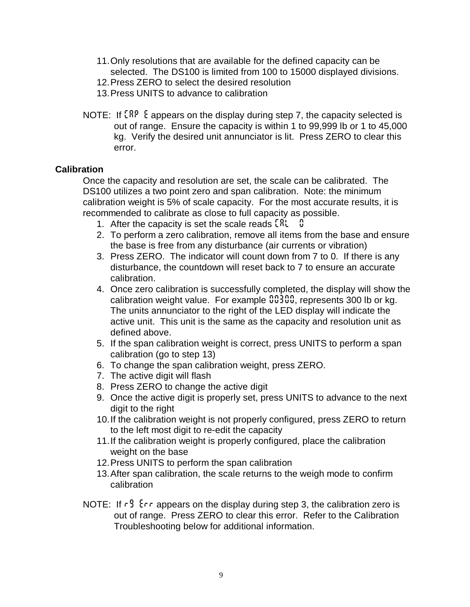- 11. Only resolutions that are available for the defined capacity can be selected. The DS100 is limited from 100 to 15000 displayed divisions.
- 12. Press ZERO to select the desired resolution
- 13. Press UNITS to advance to calibration
- NOTE: If *CAP E* appears on the display during step 7, the capacity selected is out of range. Ensure the capacity is within 1 to 99,999 lb or 1 to 45,000 kg. Verify the desired unit annunciator is lit. Press ZERO to clear this error.

### **Calibration**

Once the capacity and resolution are set, the scale can be calibrated. The DS100 utilizes a two point zero and span calibration. Note: the minimum calibration weight is 5% of scale capacity. For the most accurate results, it is recommended to calibrate as close to full capacity as possible.

- 1. After the capacity is set the scale reads *CAL 0*
- 2. To perform a zero calibration, remove all items from the base and ensure the base is free from any disturbance (air currents or vibration)
- 3. Press ZERO. The indicator will count down from 7 to 0. If there is any disturbance, the countdown will reset back to 7 to ensure an accurate calibration.
- 4. Once zero calibration is successfully completed, the display will show the calibration weight value. For example *00300*, represents 300 lb or kg. The units annunciator to the right of the LED display will indicate the active unit. This unit is the same as the capacity and resolution unit as defined above.
- 5. If the span calibration weight is correct, press UNITS to perform a span calibration (go to step 13)
- 6. To change the span calibration weight, press ZERO.
- 7. The active digit will flash
- 8. Press ZERO to change the active digit
- 9. Once the active digit is properly set, press UNITS to advance to the next digit to the right
- 10. If the calibration weight is not properly configured, press ZERO to return to the left most digit to re-edit the capacity
- 11. If the calibration weight is properly configured, place the calibration weight on the base
- 12. Press UNITS to perform the span calibration
- 13. After span calibration, the scale returns to the weigh mode to confirm calibration
- NOTE: If  $r^2$  E<sub>LF</sub> appears on the display during step 3, the calibration zero is out of range. Press ZERO to clear this error. Refer to the Calibration Troubleshooting below for additional information.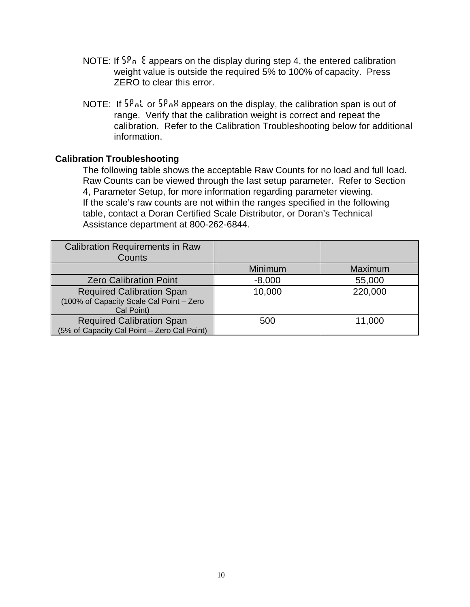- NOTE: If *SPn E* appears on the display during step 4, the entered calibration weight value is outside the required 5% to 100% of capacity. Press ZERO to clear this error.
- NOTE: If *SPnL* or *SPnH* appears on the display, the calibration span is out of range. Verify that the calibration weight is correct and repeat the calibration. Refer to the Calibration Troubleshooting below for additional information.

#### **Calibration Troubleshooting**

The following table shows the acceptable Raw Counts for no load and full load. Raw Counts can be viewed through the last setup parameter. Refer to Section 4, Parameter Setup, for more information regarding parameter viewing. If the scale's raw counts are not within the ranges specified in the following table, contact a Doran Certified Scale Distributor, or Doran's Technical Assistance department at 800-262-6844.

| <b>Calibration Requirements in Raw</b><br>Counts                                           |          |         |
|--------------------------------------------------------------------------------------------|----------|---------|
|                                                                                            | Minimum  | Maximum |
| <b>Zero Calibration Point</b>                                                              | $-8,000$ | 55,000  |
| <b>Required Calibration Span</b><br>(100% of Capacity Scale Cal Point - Zero<br>Cal Point) | 10,000   | 220,000 |
| <b>Required Calibration Span</b><br>(5% of Capacity Cal Point - Zero Cal Point)            | 500      | 11,000  |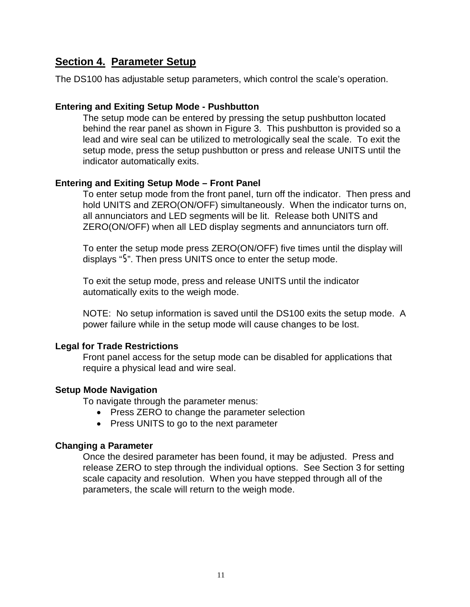# **Section 4. Parameter Setup**

The DS100 has adjustable setup parameters, which control the scale's operation.

#### **Entering and Exiting Setup Mode - Pushbutton**

The setup mode can be entered by pressing the setup pushbutton located behind the rear panel as shown in Figure 3. This pushbutton is provided so a lead and wire seal can be utilized to metrologically seal the scale. To exit the setup mode, press the setup pushbutton or press and release UNITS until the indicator automatically exits.

#### **Entering and Exiting Setup Mode – Front Panel**

To enter setup mode from the front panel, turn off the indicator. Then press and hold UNITS and ZERO(ON/OFF) simultaneously. When the indicator turns on, all annunciators and LED segments will be lit. Release both UNITS and ZERO(ON/OFF) when all LED display segments and annunciators turn off.

To enter the setup mode press ZERO(ON/OFF) five times until the display will displays "*5*". Then press UNITS once to enter the setup mode.

To exit the setup mode, press and release UNITS until the indicator automatically exits to the weigh mode.

NOTE: No setup information is saved until the DS100 exits the setup mode. A power failure while in the setup mode will cause changes to be lost.

#### **Legal for Trade Restrictions**

Front panel access for the setup mode can be disabled for applications that require a physical lead and wire seal.

#### **Setup Mode Navigation**

To navigate through the parameter menus:

- Press ZERO to change the parameter selection
- Press UNITS to go to the next parameter

#### **Changing a Parameter**

Once the desired parameter has been found, it may be adjusted. Press and release ZERO to step through the individual options. See Section 3 for setting scale capacity and resolution. When you have stepped through all of the parameters, the scale will return to the weigh mode.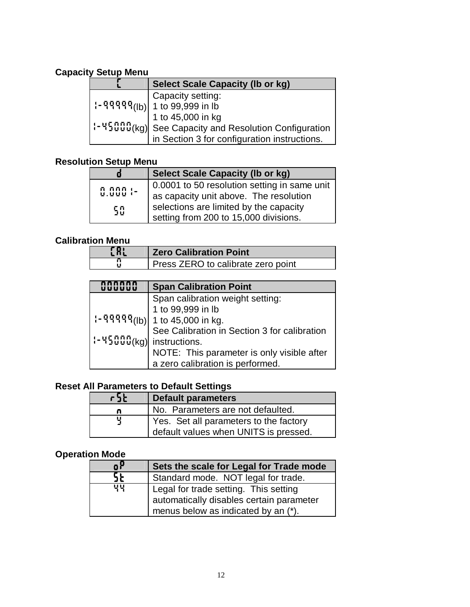# **Capacity Setup Menu**

| <b>Select Scale Capacity (Ib or kg)</b>                                                 |
|-----------------------------------------------------------------------------------------|
|                                                                                         |
| $\left  \frac{1}{2} \right $ - 99999 = $\left  \frac{1}{2} \right $ + 1 to 99,999 in lb |
| 1 to 45,000 in kg                                                                       |
| :- 45000(kg)  See Capacity and Resolution Configuration                                 |
| in Section 3 for configuration instructions.                                            |

## **Resolution Setup Menu**

|                      | <b>Select Scale Capacity (Ib or kg)</b>      |
|----------------------|----------------------------------------------|
|                      | 0.0001 to 50 resolution setting in same unit |
| n nnn :-<br>U.UUU :- | as capacity unit above. The resolution       |
| 50                   | selections are limited by the capacity       |
|                      | setting from 200 to 15,000 divisions.        |

## **Calibration Menu**

| . |                                    |
|---|------------------------------------|
|   | <b>Zero Calibration Point</b>      |
|   | Press ZERO to calibrate zero point |

|                                    | <b>Span Calibration Point</b>                                                                                                 |  |
|------------------------------------|-------------------------------------------------------------------------------------------------------------------------------|--|
|                                    | Span calibration weight setting:<br>1 to 99,999 in lb<br>1 to 45,000 in kg.<br>9 See Calibration in Section 3 for calibration |  |
|                                    |                                                                                                                               |  |
|                                    |                                                                                                                               |  |
|                                    |                                                                                                                               |  |
| $\mid$ :- 45000 (kg) instructions. |                                                                                                                               |  |
|                                    | NOTE: This parameter is only visible after                                                                                    |  |
|                                    | a zero calibration is performed.                                                                                              |  |

## **Reset All Parameters to Default Settings**

| とうと | <b>Default parameters</b>              |
|-----|----------------------------------------|
|     | No. Parameters are not defaulted.      |
|     | Yes. Set all parameters to the factory |
|     | default values when UNITS is pressed.  |

# **Operation Mode**

| oΡ | Sets the scale for Legal for Trade mode  |
|----|------------------------------------------|
| SŁ | Standard mode. NOT legal for trade.      |
| 벽벽 | Legal for trade setting. This setting    |
|    | automatically disables certain parameter |
|    | menus below as indicated by an (*).      |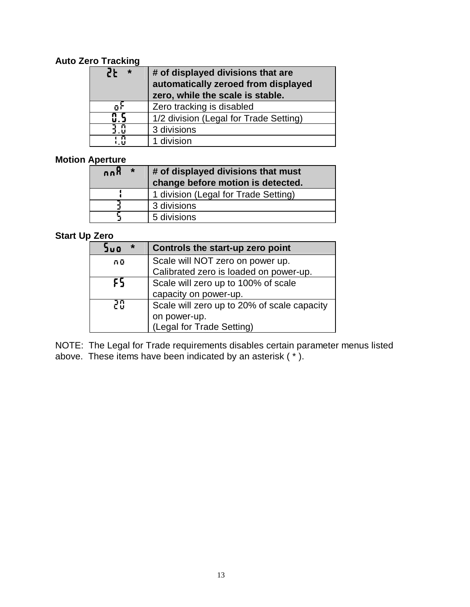## **Auto Zero Tracking**

| 55<br>$\ast$ | # of displayed divisions that are<br>automatically zeroed from displayed<br>zero, while the scale is stable. |
|--------------|--------------------------------------------------------------------------------------------------------------|
| ūΪ           | Zero tracking is disabled                                                                                    |
|              | 1/2 division (Legal for Trade Setting)                                                                       |
| 3.0          | 3 divisions                                                                                                  |
| ιñ<br>i ii   | 1 division                                                                                                   |

### **Motion Aperture**

| $\star$<br>8nn | $\vert$ # of displayed divisions that must<br>change before motion is detected. |
|----------------|---------------------------------------------------------------------------------|
|                | 1 division (Legal for Trade Setting)                                            |
|                | 3 divisions                                                                     |
|                | 5 divisions                                                                     |

## **Start Up Zero**

| $\star$<br><b>bud</b> | Controls the start-up zero point            |
|-----------------------|---------------------------------------------|
| កប៊                   | Scale will NOT zero on power up.            |
|                       | Calibrated zero is loaded on power-up.      |
| ۶S                    | Scale will zero up to 100% of scale         |
|                       | capacity on power-up.                       |
| 20                    | Scale will zero up to 20% of scale capacity |
|                       | on power-up.                                |
|                       | (Legal for Trade Setting)                   |

NOTE: The Legal for Trade requirements disables certain parameter menus listed above. These items have been indicated by an asterisk  $(*).$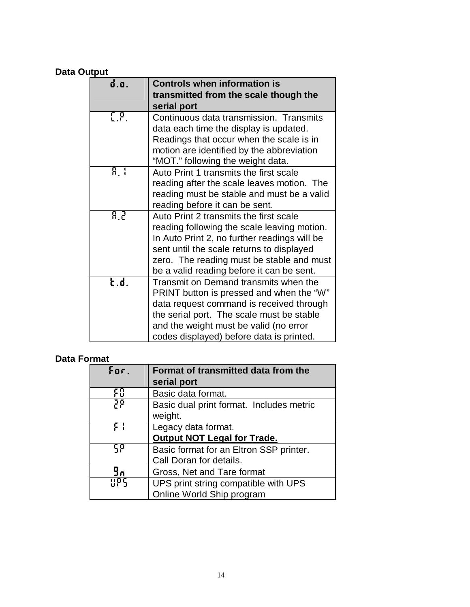## **Data Output**

| d.o.             | <b>Controls when information is</b>                  |
|------------------|------------------------------------------------------|
|                  | transmitted from the scale though the<br>serial port |
| $\mathfrak{g}_1$ | Continuous data transmission. Transmits              |
|                  | data each time the display is updated.               |
|                  | Readings that occur when the scale is in             |
|                  | motion are identified by the abbreviation            |
|                  | "MOT." following the weight data.                    |
| 8. I             | Auto Print 1 transmits the first scale               |
|                  | reading after the scale leaves motion. The           |
|                  | reading must be stable and must be a valid           |
|                  | reading before it can be sent.                       |
| 82               | Auto Print 2 transmits the first scale               |
|                  | reading following the scale leaving motion.          |
|                  | In Auto Print 2, no further readings will be         |
|                  | sent until the scale returns to displayed            |
|                  | zero. The reading must be stable and must            |
|                  | be a valid reading before it can be sent.            |
| Łd.              | Transmit on Demand transmits when the                |
|                  | PRINT button is pressed and when the "W"             |
|                  | data request command is received through             |
|                  | the serial port. The scale must be stable            |
|                  | and the weight must be valid (no error               |
|                  | codes displayed) before data is printed.             |

## **Data Format**

| For. | Format of transmitted data from the<br>serial port  |
|------|-----------------------------------------------------|
| ЕÑ   | Basic data format.                                  |
| 58   | Basic dual print format. Includes metric<br>weight. |
| င်း၊ | Legacy data format.                                 |
|      | <b>Output NOT Legal for Trade.</b>                  |
| ŞP   | Basic format for an Eltron SSP printer.             |
|      | Call Doran for details.                             |
| 9л   | Gross, Net and Tare format                          |
| 89   | UPS print string compatible with UPS                |
|      | Online World Ship program                           |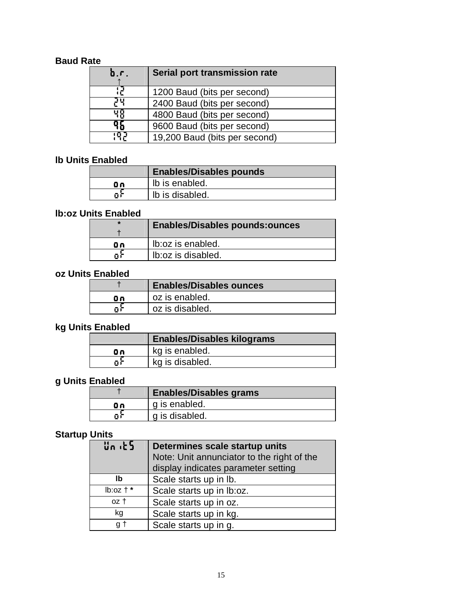## **Baud Rate**

| Ò.Г. | Serial port transmission rate |
|------|-------------------------------|
|      | 1200 Baud (bits per second)   |
| ΡY   | 2400 Baud (bits per second)   |
| 骊    | 4800 Baud (bits per second)   |
| 96   | 9600 Baud (bits per second)   |
| 9    | 19,200 Baud (bits per second) |

## **lb Units Enabled**

|    | <b>Enables/Disables pounds</b> |
|----|--------------------------------|
| Θn | Ib is enabled.                 |
| Ωř | Ib is disabled.                |

## **lb:oz Units Enabled**

| $\star$ | <b>Enables/Disables pounds:ounces</b> |
|---------|---------------------------------------|
| Οn      | Ib: oz is enabled.                    |
| Ωì      | Ib: oz is disabled.                   |

## **oz Units Enabled**

|     | <b>Enables/Disables ounces</b> |
|-----|--------------------------------|
| Лn. | oz is enabled.                 |
|     | oz is disabled.                |

# **kg Units Enabled**

|    | <b>Enables/Disables kilograms</b> |
|----|-----------------------------------|
| Οn | kg is enabled.                    |
| пř | kg is disabled.                   |

# **g Units Enabled**

|    | <b>Enables/Disables grams</b> |
|----|-------------------------------|
| Οn | g is enabled.                 |
| Πì | g is disabled.                |

# **Startup Units**

| <u>นิก (≿5)</u> | Determines scale startup units             |
|-----------------|--------------------------------------------|
|                 | Note: Unit annunciator to the right of the |
|                 | display indicates parameter setting        |
| Ib              | Scale starts up in lb.                     |
| $lb:oz + *$     | Scale starts up in lb:oz.                  |
| oz t            | Scale starts up in oz.                     |
| kg              | Scale starts up in kg.                     |
| a t             | Scale starts up in g.                      |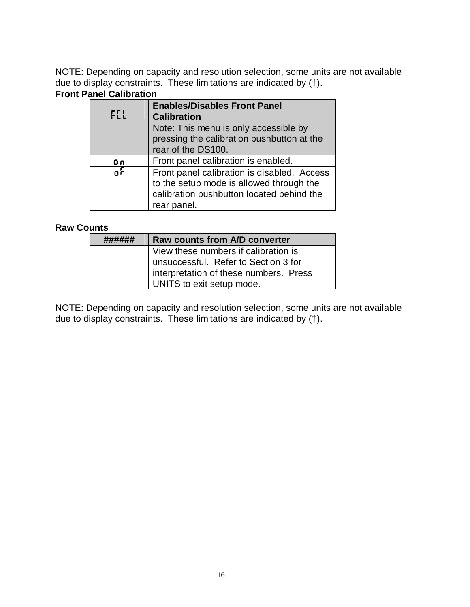NOTE: Depending on capacity and resolution selection, some units are not available due to display constraints. These limitations are indicated by (†).

## **Front Panel Calibration**

|          | <b>Enables/Disables Front Panel</b>         |
|----------|---------------------------------------------|
| $F_{LL}$ | <b>Calibration</b>                          |
|          | Note: This menu is only accessible by       |
|          | pressing the calibration pushbutton at the  |
|          | rear of the DS100.                          |
| Οn       | Front panel calibration is enabled.         |
| oł       | Front panel calibration is disabled. Access |
|          | to the setup mode is allowed through the    |
|          | calibration pushbutton located behind the   |
|          | rear panel.                                 |

#### **Raw Counts**

| <b>Raw counts from A/D converter</b>   |
|----------------------------------------|
| View these numbers if calibration is   |
| unsuccessful. Refer to Section 3 for   |
| interpretation of these numbers. Press |
| UNITS to exit setup mode.              |

NOTE: Depending on capacity and resolution selection, some units are not available due to display constraints. These limitations are indicated by (†).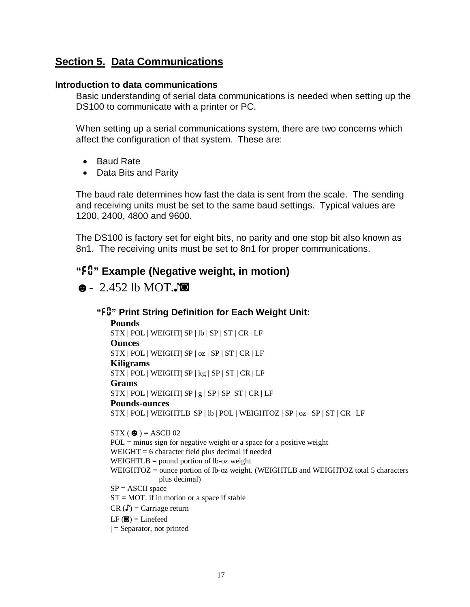# **Section 5. Data Communications**

#### **Introduction to data communications**

Basic understanding of serial data communications is needed when setting up the DS100 to communicate with a printer or PC.

When setting up a serial communications system, there are two concerns which affect the configuration of that system. These are:

- Baud Rate
- Data Bits and Parity

The baud rate determines how fast the data is sent from the scale. The sending and receiving units must be set to the same baud settings. Typical values are 1200, 2400, 4800 and 9600.

The DS100 is factory set for eight bits, no parity and one stop bit also known as 8n1. The receiving units must be set to 8n1 for proper communications.

# **"***F0***" Example (Negative weight, in motion)**

 $\bullet$  - 2.452 lb MOT.

#### **"***F0***" Print String Definition for Each Weight Unit:**

**Pounds** STX | POL | WEIGHT| SP | lb | SP | ST | CR | LF **Ounces** STX | POL | WEIGHT| SP | oz | SP | ST | CR | LF **Kiligrams** STX | POL | WEIGHT| SP | kg | SP | ST | CR | LF **Grams**  $STX | POL | WEIGHT | SP | g | SP | SP | ST | CR | LF$ **Pounds-ounces** STX | POL | WEIGHTLB| SP | lb | POL | WEIGHTOZ | SP | oz | SP | ST | CR | LF

 $STX$  ( $\bullet$ ) = ASCII 02  $POL = minus sign for negative weight or a space for a positive weight$ WEIGHT = 6 character field plus decimal if needed WEIGHTLB  $=$  pound portion of lb-oz weight WEIGHTOZ = ounce portion of lb-oz weight. (WEIGHTLB and WEIGHTOZ total 5 characters plus decimal)  $SP = ASCII$  space  $ST = MOT$ . if in motion or a space if stable  $CR(\Gamma) = Carriage return$  $LF$  ( $\blacksquare$ ) = Linefeed  $|$  = Separator, not printed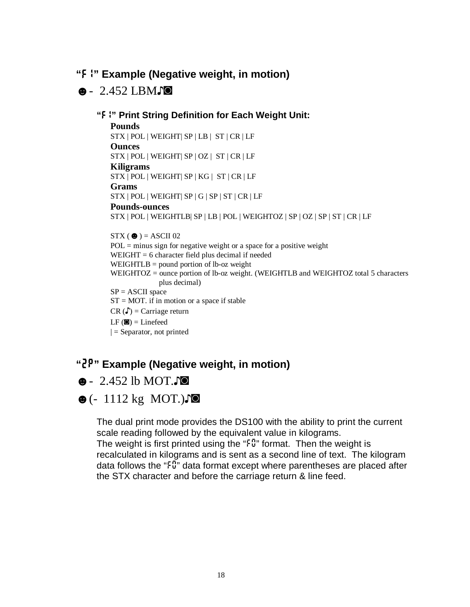## **"***F1***" Example (Negative weight, in motion)**

## $\bullet$  - 2.452 LBM $\Box$  $\bullet$

#### **"***F1***" Print String Definition for Each Weight Unit:**

#### **Pounds**

STX | POL | WEIGHT| SP | LB | ST | CR | LF **Ounces** STX | POL | WEIGHT| SP | OZ | ST | CR | LF

#### **Kiligrams**

STX | POL | WEIGHT| SP | KG | ST | CR | LF

#### **Grams**

STX | POL | WEIGHT| SP | G | SP | ST | CR | LF

#### **Pounds-ounces**

STX | POL | WEIGHTLB| SP | LB | POL | WEIGHTOZ | SP | OZ | SP | ST | CR | LF

#### $STX$  ( $\bullet$ ) = ASCII 02

 $POL = minus sign for negative weight or a space for a positive weight$  $WEIGHT = 6 character field plus decimal if needed$ WEIGHTLB = pound portion of lb-oz weight WEIGHTOZ = ounce portion of lb-oz weight. (WEIGHTLB and WEIGHTOZ total 5 characters plus decimal)  $SP = ASCII$  space  $ST = MOT$ . if in motion or a space if stable  $CR(\Gamma) = Carriage return$ 

#### $LF$  ( $\bullet$ ) = Linefeed

 $\vert$  = Separator, not printed

# **"***2P***" Example (Negative weight, in motion)**

# $\bullet$  - 2.452 lb MOT.

# $\bullet$  (- 1112 kg MOT.) $\bullet$

The dual print mode provides the DS100 with the ability to print the current scale reading followed by the equivalent value in kilograms. The weight is first printed using the "*F0*" format. Then the weight is recalculated in kilograms and is sent as a second line of text. The kilogram data follows the "*F0*" data format except where parentheses are placed after the STX character and before the carriage return & line feed.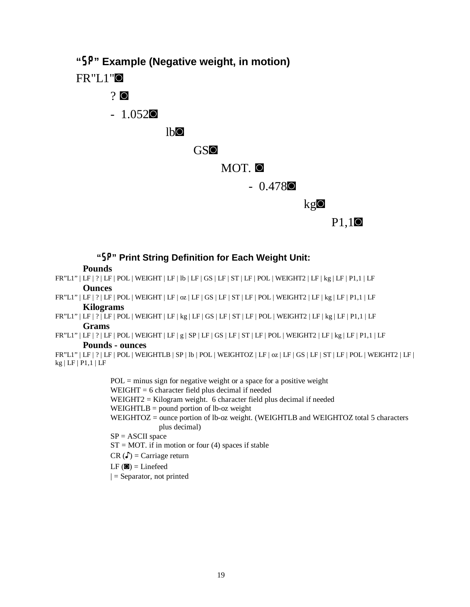**"***SP***" Example (Negative weight, in motion)**

 $FR"LI"$ 

# $2^{\circ}$

 $-1.052$  $\circ$ 

 $l$ <sub>b $\circ$ </sub>

### GSIO

## MOT. O

 $- 0.478$ **O** 

kg**o** 

P1,1<sup>o</sup>

## **"***SP***" Print String Definition for Each Weight Unit:**

**Pounds**

- FR"L1" | LF | ? | LF | POL | WEIGHT | LF | lb | LF | GS | LF | ST | LF | POL | WEIGHT2 | LF | kg | LF | P1,1 | LF **Ounces**
- FR"L1" | LF | ? | LF | POL | WEIGHT | LF | oz | LF | GS | LF | ST | LF | POL | WEIGHT2 | LF | kg | LF | P1,1 | LF **Kilograms**
- FR"L1" | LF | ? | LF | POL | WEIGHT | LF | kg | LF | GS | LF | ST | LF | POL | WEIGHT2 | LF | kg | LF | P1,1 | LF **Grams**
- FR"L1" | LF | ? | LF | POL | WEIGHT | LF | g | SP | LF | GS | LF | ST | LF | POL | WEIGHT2 | LF | kg | LF | P1,1 | LF **Pounds - ounces**
- FR"L1" | LF | ? | LF | POL | WEIGHTLB | SP | lb | POL | WEIGHTOZ | LF | oz | LF | GS | LF | ST | LF | POL | WEIGHT2 | LF | kg | LF | P1,1 | LF

 $POL = minus sign for negative weight or a space for a positive weight$ WEIGHT = 6 character field plus decimal if needed WEIGHT2 = Kilogram weight. 6 character field plus decimal if needed WEIGHTLB  $=$  pound portion of lb-oz weight WEIGHTOZ = ounce portion of lb-oz weight. (WEIGHTLB and WEIGHTOZ total 5 characters plus decimal)  $SP = ASCII$  space  $ST = MOT$ . if in motion or four (4) spaces if stable

- $CR(\Gamma) = Carriage return$
- $LF$  ( $\blacksquare$ ) = Linefeed
- $|$  = Separator, not printed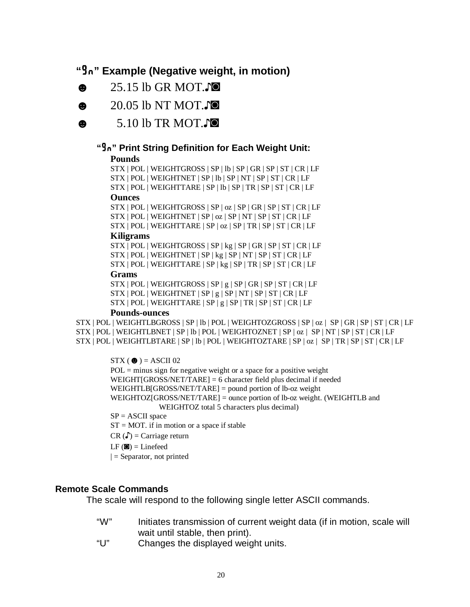## **"***Gn***" Example (Negative weight, in motion)**

- $\bullet$  25.15 lb GR MOT. $\bullet$
- $\bullet$  20.05 lb NT MOT.
- $\bullet$  5.10 lb TR MOT.

## **"***Gn***" Print String Definition for Each Weight Unit:**

#### **Pounds**

STX | POL | WEIGHTGROSS | SP | lb | SP | GR | SP | ST | CR | LF STX | POL | WEIGHTNET | SP | lb | SP | NT | SP | ST | CR | LF STX | POL | WEIGHTTARE | SP | lb | SP | TR | SP | ST | CR | LF

#### **Ounces**

STX | POL | WEIGHTGROSS | SP | oz | SP | GR | SP | ST | CR | LF STX | POL | WEIGHTNET | SP | oz | SP | NT | SP | ST | CR | LF STX | POL | WEIGHTTARE | SP | oz | SP | TR | SP | ST | CR | LF

#### **Kiligrams**

STX | POL | WEIGHTGROSS | SP | kg | SP | GR | SP | ST | CR | LF STX | POL | WEIGHTNET | SP | kg | SP | NT | SP | ST | CR | LF STX | POL | WEIGHTTARE | SP | kg | SP | TR | SP | ST | CR | LF

#### **Grams**

STX | POL | WEIGHTGROSS | SP | g | SP | GR | SP | ST | CR | LF  $STX | POL | WEIGHTNET | SP | g | SP | NT | SP | ST | CR | LF$ STX | POL | WEIGHTTARE | SP | g | SP | TR | SP | ST | CR | LF

#### **Pounds-ounces**

STX | POL | WEIGHTLBGROSS | SP | lb | POL | WEIGHTOZGROSS | SP | oz | SP | GR | SP | ST | CR | LF STX | POL | WEIGHTLBNET | SP | lb | POL | WEIGHTOZNET | SP | oz | SP | NT | SP | ST | CR | LF STX | POL | WEIGHTLBTARE | SP | lb | POL | WEIGHTOZTARE | SP | oz | SP | TR | SP | ST | CR | LF

> $STX$  ( $\bullet$ ) = ASCII 02  $POL = minus sign for negative weight or a space for a positive weight$ WEIGHT[GROSS/NET/TARE] = 6 character field plus decimal if needed WEIGHTLB[GROSS/NET/TARE] = pound portion of lb-oz weight WEIGHTOZ[GROSS/NET/TARE] = ounce portion of lb-oz weight. (WEIGHTLB and WEIGHTOZ total 5 characters plus decimal)  $SP = ASCII$  space  $ST = MOT$ . if in motion or a space if stable

 $CR(\Gamma) = Carriage return$ 

 $LF$  ( $\blacksquare$ ) = Linefeed

 $|$  = Separator, not printed

## **Remote Scale Commands**

The scale will respond to the following single letter ASCII commands.

- "W" Initiates transmission of current weight data (if in motion, scale will wait until stable, then print).
- "U" Changes the displayed weight units.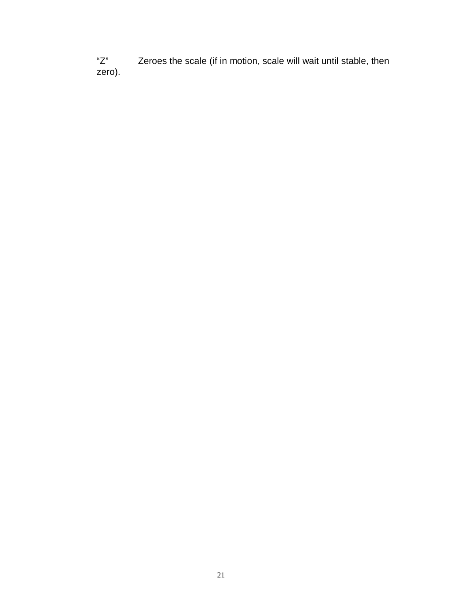"Z" Zeroes the scale (if in motion, scale will wait until stable, then zero).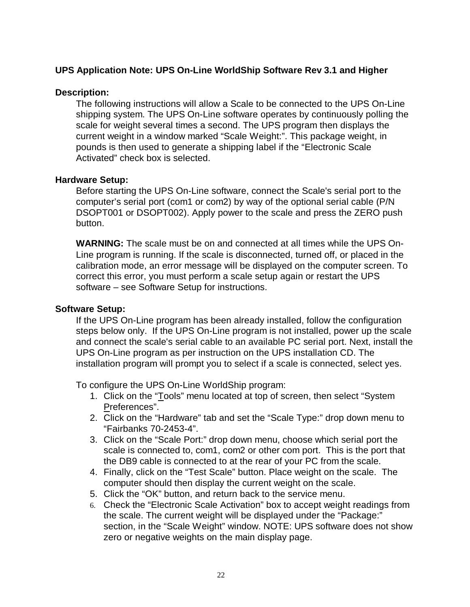#### **UPS Application Note: UPS On-Line WorldShip Software Rev 3.1 and Higher**

#### **Description:**

The following instructions will allow a Scale to be connected to the UPS On-Line shipping system. The UPS On-Line software operates by continuously polling the scale for weight several times a second. The UPS program then displays the current weight in a window marked "Scale Weight:". This package weight, in pounds is then used to generate a shipping label if the "Electronic Scale Activated" check box is selected.

#### **Hardware Setup:**

Before starting the UPS On-Line software, connect the Scale's serial port to the computer's serial port (com1 or com2) by way of the optional serial cable (P/N DSOPT001 or DSOPT002). Apply power to the scale and press the ZERO push button.

**WARNING:** The scale must be on and connected at all times while the UPS On-Line program is running. If the scale is disconnected, turned off, or placed in the calibration mode, an error message will be displayed on the computer screen. To correct this error, you must perform a scale setup again or restart the UPS software – see Software Setup for instructions.

#### **Software Setup:**

If the UPS On-Line program has been already installed, follow the configuration steps below only. If the UPS On-Line program is not installed, power up the scale and connect the scale's serial cable to an available PC serial port. Next, install the UPS On-Line program as per instruction on the UPS installation CD. The installation program will prompt you to select if a scale is connected, select yes.

To configure the UPS On-Line WorldShip program:

- 1. Click on the "Tools" menu located at top of screen, then select "System Preferences".
- 2. Click on the "Hardware" tab and set the "Scale Type:" drop down menu to "Fairbanks 70-2453-4".
- 3. Click on the "Scale Port:" drop down menu, choose which serial port the scale is connected to, com1, com2 or other com port. This is the port that the DB9 cable is connected to at the rear of your PC from the scale.
- 4. Finally, click on the "Test Scale" button. Place weight on the scale. The computer should then display the current weight on the scale.
- 5. Click the "OK" button, and return back to the service menu.
- 6. Check the "Electronic Scale Activation" box to accept weight readings from the scale. The current weight will be displayed under the "Package:" section, in the "Scale Weight" window. NOTE: UPS software does not show zero or negative weights on the main display page.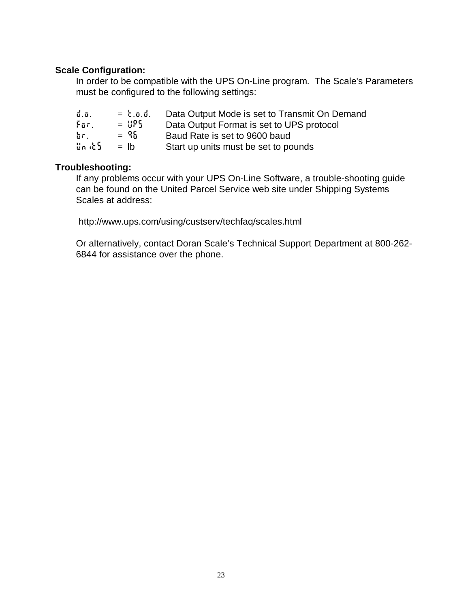#### **Scale Configuration:**

In order to be compatible with the UPS On-Line program. The Scale's Parameters must be configured to the following settings:

| $\phi$ .o. | $= 5.0.0.$ | Data Output Mode is set to Transmit On Demand |
|------------|------------|-----------------------------------------------|
| For        | $=$ 8PS    | Data Output Format is set to UPS protocol     |
| Ъr.        | $=$ 96     | Baud Rate is set to 9600 baud                 |
| Սո մեն։    | $=$ lb     | Start up units must be set to pounds          |

#### **Troubleshooting:**

If any problems occur with your UPS On-Line Software, a trouble-shooting guide can be found on the United Parcel Service web site under Shipping Systems Scales at address:

<http://www.ups.com/using/custserv/techfaq/scales.html>

Or alternatively, contact Doran Scale's Technical Support Department at 800-262- 6844 for assistance over the phone.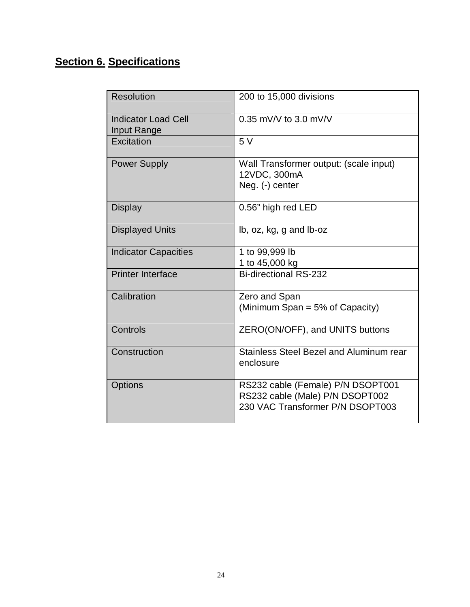# **Section 6. Specifications**

| <b>Resolution</b>                         | 200 to 15,000 divisions                                                                                  |
|-------------------------------------------|----------------------------------------------------------------------------------------------------------|
| <b>Indicator Load Cell</b><br>Input Range | $0.35$ mV/V to 3.0 mV/V                                                                                  |
| Excitation                                | 5V                                                                                                       |
| <b>Power Supply</b>                       | Wall Transformer output: (scale input)<br>12VDC, 300mA<br>Neg. (-) center                                |
| <b>Display</b>                            | 0.56" high red LED                                                                                       |
| <b>Displayed Units</b>                    | lb, oz, kg, g and lb-oz                                                                                  |
| <b>Indicator Capacities</b>               | 1 to 99,999 lb<br>1 to 45,000 kg                                                                         |
| <b>Printer Interface</b>                  | <b>Bi-directional RS-232</b>                                                                             |
| Calibration                               | Zero and Span<br>(Minimum Span = $5\%$ of Capacity)                                                      |
| Controls                                  | ZERO(ON/OFF), and UNITS buttons                                                                          |
| Construction                              | Stainless Steel Bezel and Aluminum rear<br>enclosure                                                     |
| <b>Options</b>                            | RS232 cable (Female) P/N DSOPT001<br>RS232 cable (Male) P/N DSOPT002<br>230 VAC Transformer P/N DSOPT003 |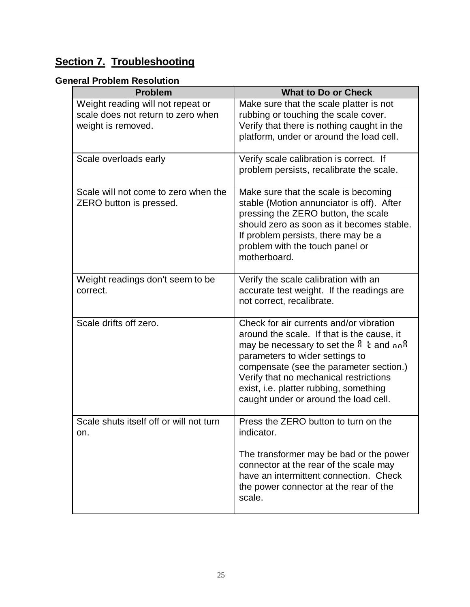# **Section 7. Troubleshooting**

## **General Problem Resolution**

| <b>Problem</b>                                                                                | <b>What to Do or Check</b>                                                                                                                                                                                                                                                                                                                 |
|-----------------------------------------------------------------------------------------------|--------------------------------------------------------------------------------------------------------------------------------------------------------------------------------------------------------------------------------------------------------------------------------------------------------------------------------------------|
| Weight reading will not repeat or<br>scale does not return to zero when<br>weight is removed. | Make sure that the scale platter is not<br>rubbing or touching the scale cover.<br>Verify that there is nothing caught in the<br>platform, under or around the load cell.                                                                                                                                                                  |
| Scale overloads early                                                                         | Verify scale calibration is correct. If<br>problem persists, recalibrate the scale.                                                                                                                                                                                                                                                        |
| Scale will not come to zero when the<br>ZERO button is pressed.                               | Make sure that the scale is becoming<br>stable (Motion annunciator is off). After<br>pressing the ZERO button, the scale<br>should zero as soon as it becomes stable.<br>If problem persists, there may be a<br>problem with the touch panel or<br>motherboard.                                                                            |
| Weight readings don't seem to be<br>correct.                                                  | Verify the scale calibration with an<br>accurate test weight. If the readings are<br>not correct, recalibrate.                                                                                                                                                                                                                             |
| Scale drifts off zero.                                                                        | Check for air currents and/or vibration<br>around the scale. If that is the cause, it<br>may be necessary to set the RM and nnR<br>parameters to wider settings to<br>compensate (see the parameter section.)<br>Verify that no mechanical restrictions<br>exist, i.e. platter rubbing, something<br>caught under or around the load cell. |
| Scale shuts itself off or will not turn<br>on.                                                | Press the ZERO button to turn on the<br>indicator.<br>The transformer may be bad or the power<br>connector at the rear of the scale may<br>have an intermittent connection. Check<br>the power connector at the rear of the<br>scale.                                                                                                      |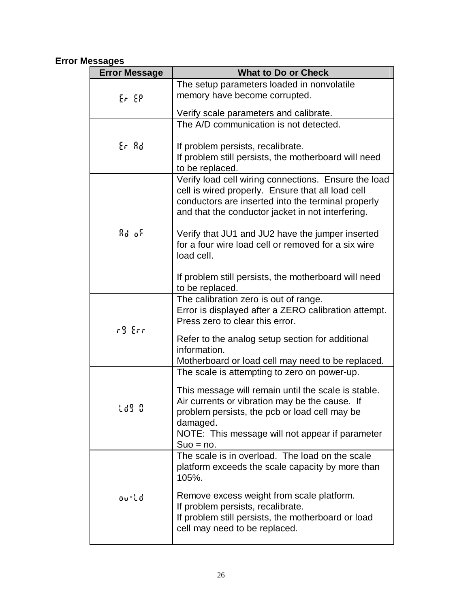## **Error Messages**

| <b>Error Message</b>    | <b>What to Do or Check</b>                                                          |
|-------------------------|-------------------------------------------------------------------------------------|
|                         | The setup parameters loaded in nonvolatile                                          |
| $E_{\rm F}$ $E_{\rm F}$ | memory have become corrupted.                                                       |
|                         | Verify scale parameters and calibrate.                                              |
|                         | The A/D communication is not detected.                                              |
|                         |                                                                                     |
| Er Rd                   | If problem persists, recalibrate.                                                   |
|                         | If problem still persists, the motherboard will need<br>to be replaced.             |
|                         | Verify load cell wiring connections. Ensure the load                                |
|                         | cell is wired properly. Ensure that all load cell                                   |
|                         | conductors are inserted into the terminal properly                                  |
|                         | and that the conductor jacket in not interfering.                                   |
| Ad of                   | Verify that JU1 and JU2 have the jumper inserted                                    |
|                         | for a four wire load cell or removed for a six wire                                 |
|                         | load cell.                                                                          |
|                         |                                                                                     |
|                         | If problem still persists, the motherboard will need<br>to be replaced.             |
|                         | The calibration zero is out of range.                                               |
|                         | Error is displayed after a ZERO calibration attempt.                                |
|                         | Press zero to clear this error.                                                     |
| r9 Err                  | Refer to the analog setup section for additional                                    |
|                         | information.                                                                        |
|                         | Motherboard or load cell may need to be replaced.                                   |
|                         | The scale is attempting to zero on power-up.                                        |
|                         | This message will remain until the scale is stable.                                 |
| Ld9 0                   | Air currents or vibration may be the cause. If                                      |
|                         | problem persists, the pcb or load cell may be                                       |
|                         | damaged.<br>NOTE: This message will not appear if parameter                         |
|                         | $Suo = no$ .                                                                        |
|                         | The scale is in overload. The load on the scale                                     |
|                         | platform exceeds the scale capacity by more than                                    |
|                         | 105%.                                                                               |
| ou-Ld                   | Remove excess weight from scale platform.                                           |
|                         | If problem persists, recalibrate.                                                   |
|                         | If problem still persists, the motherboard or load<br>cell may need to be replaced. |
|                         |                                                                                     |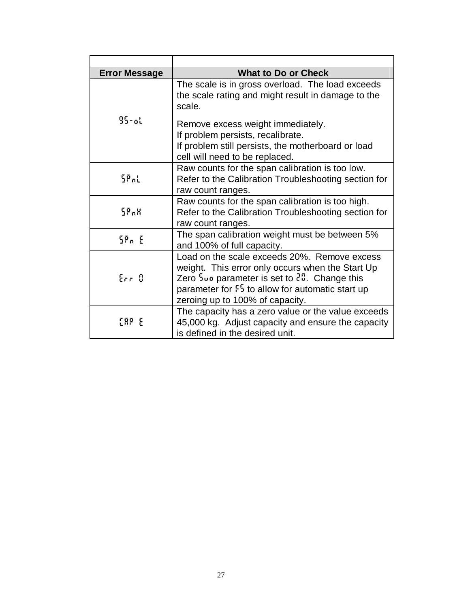| <b>Error Message</b> | <b>What to Do or Check</b>                                                                                                                                                                                                                                                   |
|----------------------|------------------------------------------------------------------------------------------------------------------------------------------------------------------------------------------------------------------------------------------------------------------------------|
| $95$ -al             | The scale is in gross overload. The load exceeds<br>the scale rating and might result in damage to the<br>scale.                                                                                                                                                             |
|                      | Remove excess weight immediately.<br>If problem persists, recalibrate.<br>If problem still persists, the motherboard or load<br>cell will need to be replaced.                                                                                                               |
| 58 nL                | Raw counts for the span calibration is too low.<br>Refer to the Calibration Troubleshooting section for<br>raw count ranges.                                                                                                                                                 |
| 58 A.H               | Raw counts for the span calibration is too high.<br>Refer to the Calibration Troubleshooting section for<br>raw count ranges.                                                                                                                                                |
| 58n E                | The span calibration weight must be between 5%<br>and 100% of full capacity.                                                                                                                                                                                                 |
| $E_{\rm eff}/3$      | Load on the scale exceeds 20%. Remove excess<br>weight. This error only occurs when the Start Up<br>Zero $\frac{1}{2}$ un parameter is set to $\frac{3}{2}$ . Change this<br>parameter for $5\frac{1}{2}$ to allow for automatic start up<br>zeroing up to 100% of capacity. |
| ERP E                | The capacity has a zero value or the value exceeds<br>45,000 kg. Adjust capacity and ensure the capacity<br>is defined in the desired unit.                                                                                                                                  |